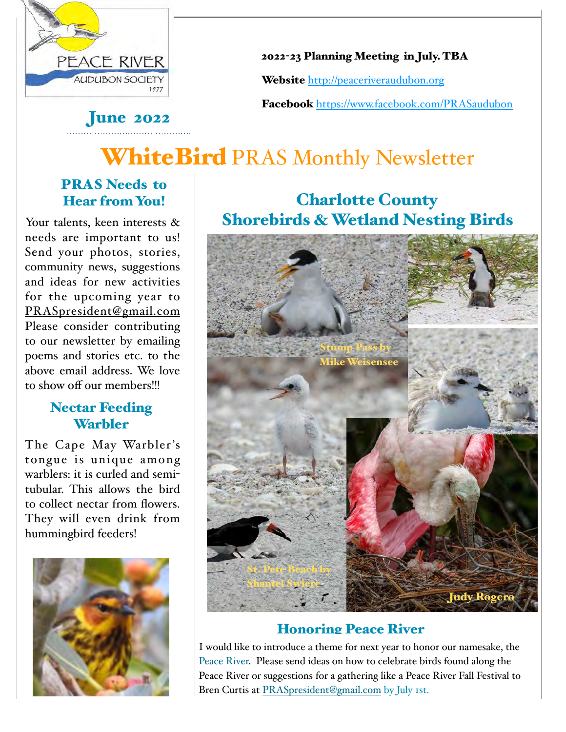

2022-23 Planning Meeting in July. TBA

Website <http://peaceriveraudubon.org>

Facebook <https://www.facebook.com/PRASaudubon>

# WhiteBird PRAS Monthly Newsletter

### PRAS Needs to Hear from You!

**June 2022** 

Your talents, keen interests & needs are important to us! Send your photos, stories, community news, suggestions and ideas for new activities for the upcoming year to [PRASpresident@gmail.com](mailto:PRASpresident@gmail.com) Please consider contributing to our newsletter by emailing poems and stories etc. to the above email address. We love to show off our members!!!

### Nectar Feeding **Warbler**

The Cape May Warbler's tongue is unique among warblers: it is curled and semitubular. This allows the bird to collect nectar from flowers. They will even drink from hummingbird feeders!



## Charlotte County Shorebirds & Wetland Nesting Birds



### Honoring Peace River

I would like to introduce a theme for next year to honor our namesake, the Peace River. Please send ideas on how to celebrate birds found along the Peace River or suggestions for a gathering like a Peace River Fall Festival to Bren Curtis at [PRASpresident@gmail.com](mailto:PRASpresident@gmail.com) by July 1st.